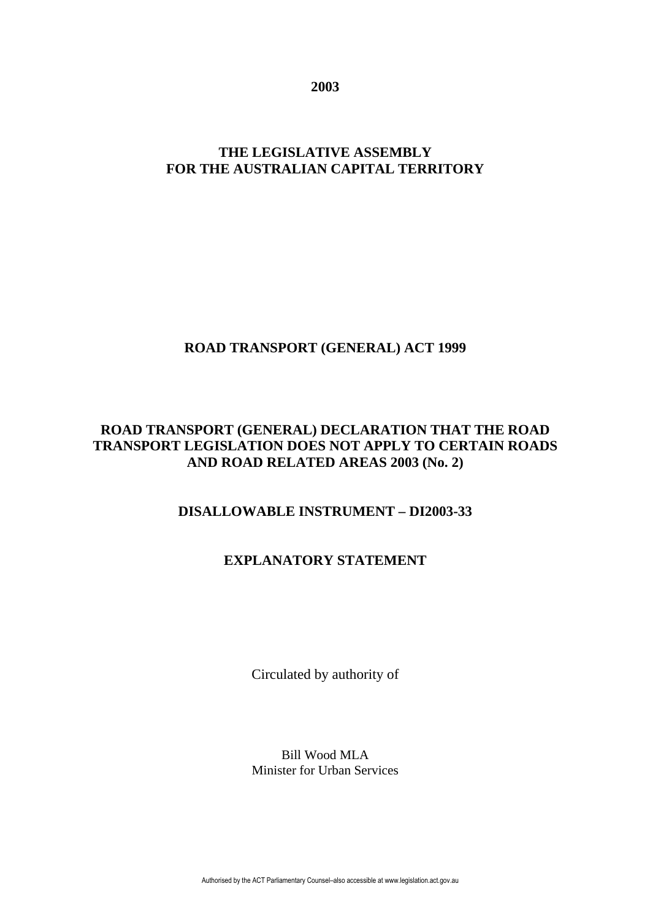**2003** 

# **THE LEGISLATIVE ASSEMBLY FOR THE AUSTRALIAN CAPITAL TERRITORY**

# **ROAD TRANSPORT (GENERAL) ACT 1999**

### **ROAD TRANSPORT (GENERAL) DECLARATION THAT THE ROAD TRANSPORT LEGISLATION DOES NOT APPLY TO CERTAIN ROADS AND ROAD RELATED AREAS 2003 (No. 2)**

# **DISALLOWABLE INSTRUMENT – DI2003-33**

# **EXPLANATORY STATEMENT**

Circulated by authority of

Bill Wood MLA Minister for Urban Services